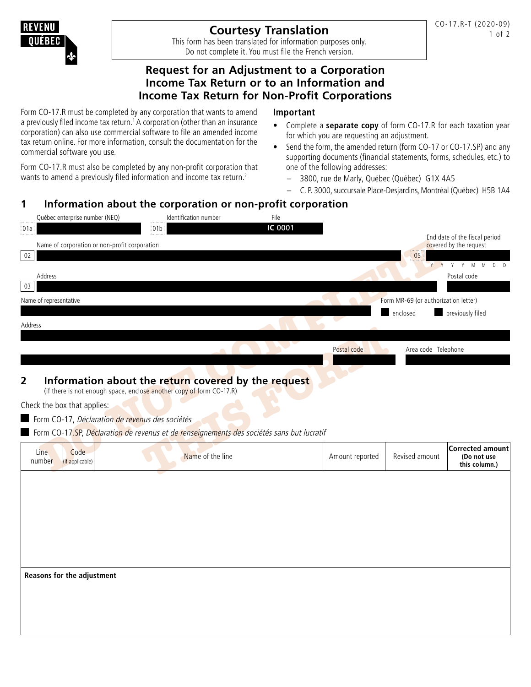# **Courtesy Translation**

This form has been translated for information purposes only. Do not complete it. You must file the French version.

## **Request for an Adjustment to a Corporation Income Tax Return or to an Information and Income Tax Return for Non-Profit Corporations**

Form CO-17.R must be completed by any corporation that wants to amend a previously filed income tax return.<sup>1</sup> A corporation (other than an insurance corporation) can also use commercial software to file an amended income tax return online. For more information, consult the documentation for the commercial software you use.

Form CO-17.R must also be completed by any non-profit corporation that wants to amend a previously filed information and income tax return.<sup>2</sup>

#### **Important**

- Complete a **separate copy** of form CO-17.R for each taxation year for which you are requesting an adjustment.
- Send the form, the amended return (form CO-17 or CO-17.SP) and any supporting documents (financial statements, forms, schedules, etc.) to one of the following addresses:
	- 3800, rue de Marly, Québec (Québec) G1X 4A5
	- C. P. 3000, succursale Place-Desjardins, Montréal (Québec) H5B 1A4

# **1 Information about the corporation or non-profit corporation**

| IC 0001<br> 01a <br>01 <sub>b</sub><br>End date of the fiscal period<br>Name of corporation or non-profit corporation<br>covered by the request<br>$02\,$<br>$\begin{bmatrix} 05 \\ \end{bmatrix}$<br>$Y$ $Y$<br>Y<br>Address<br>Postal code | Y M M<br>$D$ $D$                                        |
|----------------------------------------------------------------------------------------------------------------------------------------------------------------------------------------------------------------------------------------------|---------------------------------------------------------|
|                                                                                                                                                                                                                                              |                                                         |
|                                                                                                                                                                                                                                              |                                                         |
|                                                                                                                                                                                                                                              |                                                         |
|                                                                                                                                                                                                                                              |                                                         |
| 03                                                                                                                                                                                                                                           |                                                         |
| Form MR-69 (or authorization letter)<br>Name of representative<br>$\overline{\phantom{a}}$                                                                                                                                                   |                                                         |
| enclosed<br>previously filed                                                                                                                                                                                                                 |                                                         |
| Address                                                                                                                                                                                                                                      |                                                         |
|                                                                                                                                                                                                                                              |                                                         |
| Postal code<br>Area code Telephone                                                                                                                                                                                                           |                                                         |
|                                                                                                                                                                                                                                              |                                                         |
| $\overline{2}$<br>Information about the return covered by the request                                                                                                                                                                        |                                                         |
| (if there is not enough space, enclose another copy of form CO-17.R)                                                                                                                                                                         |                                                         |
| Check the box that applies:                                                                                                                                                                                                                  |                                                         |
| Form CO-17, Déclaration de revenus des sociétés                                                                                                                                                                                              |                                                         |
| Form CO-17.SP, Déclaration de revenus et de renseignements des sociétés sans but lucratif                                                                                                                                                    |                                                         |
|                                                                                                                                                                                                                                              |                                                         |
| Line<br>Code<br>Name of the line<br>Amount reported<br>Revised amount<br>number<br>(if applicable)                                                                                                                                           | <b>Corrected amount</b><br>(Do not use<br>this column.) |
|                                                                                                                                                                                                                                              |                                                         |
|                                                                                                                                                                                                                                              |                                                         |
|                                                                                                                                                                                                                                              |                                                         |
|                                                                                                                                                                                                                                              |                                                         |
|                                                                                                                                                                                                                                              |                                                         |
|                                                                                                                                                                                                                                              |                                                         |
|                                                                                                                                                                                                                                              |                                                         |
|                                                                                                                                                                                                                                              |                                                         |
| Reasons for the adjustment                                                                                                                                                                                                                   |                                                         |
|                                                                                                                                                                                                                                              |                                                         |
|                                                                                                                                                                                                                                              |                                                         |
|                                                                                                                                                                                                                                              |                                                         |
|                                                                                                                                                                                                                                              |                                                         |